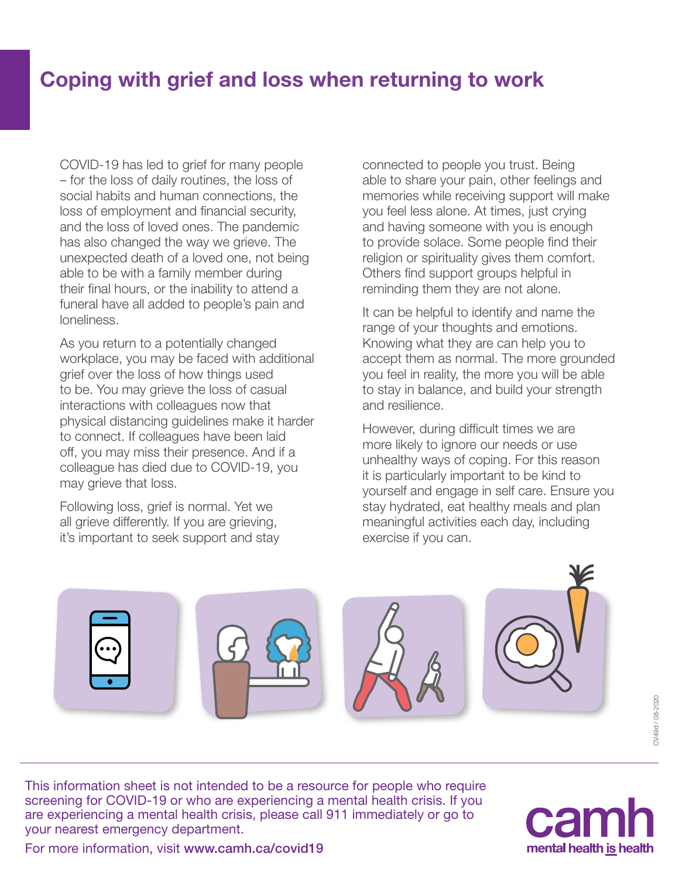## Coping with grief and loss when returning to work

COVID-19 has led to grief for many people – for the loss of daily routines, the loss of social habits and human connections, the loss of employment and financial security, and the loss of loved ones. The pandemic has also changed the way we grieve. The unexpected death of a loved one, not being able to be with a family member during their final hours, or the inability to attend a funeral have all added to people's pain and loneliness.

As you return to a potentially changed workplace, you may be faced with additional grief over the loss of how things used to be. You may grieve the loss of casual interactions with colleagues now that physical distancing guidelines make it harder to connect. If colleagues have been laid off, you may miss their presence. And if a colleague has died due to COVID-19, you may grieve that loss.

Following loss, grief is normal. Yet we all grieve differently. If you are grieving, it's important to seek support and stay connected to people you trust. Being able to share your pain, other feelings and memories while receiving support will make you feel less alone. At times, just crying and having someone with you is enough to provide solace. Some people find their religion or spirituality gives them comfort. Others find support groups helpful in reminding them they are not alone.

It can be helpful to identify and name the range of your thoughts and emotions. Knowing what they are can help you to accept them as normal. The more grounded you feel in reality, the more you will be able to stay in balance, and build your strength and resilience.

However, during difficult times we are more likely to ignore our needs or use unhealthy ways of coping. For this reason it is particularly important to be kind to yourself and engage in self care. Ensure you stay hydrated, eat healthy meals and plan meaningful activities each day, including exercise if you can.



This information sheet is not intended to be a resource for people who require screening for COVID-19 or who are experiencing a mental health crisis. If you are experiencing a mental health crisis, please call 911 immediately or go to your nearest emergency department.



For more information, visit [www.camh.ca/covid19](http://www.camh.ca/covid19)